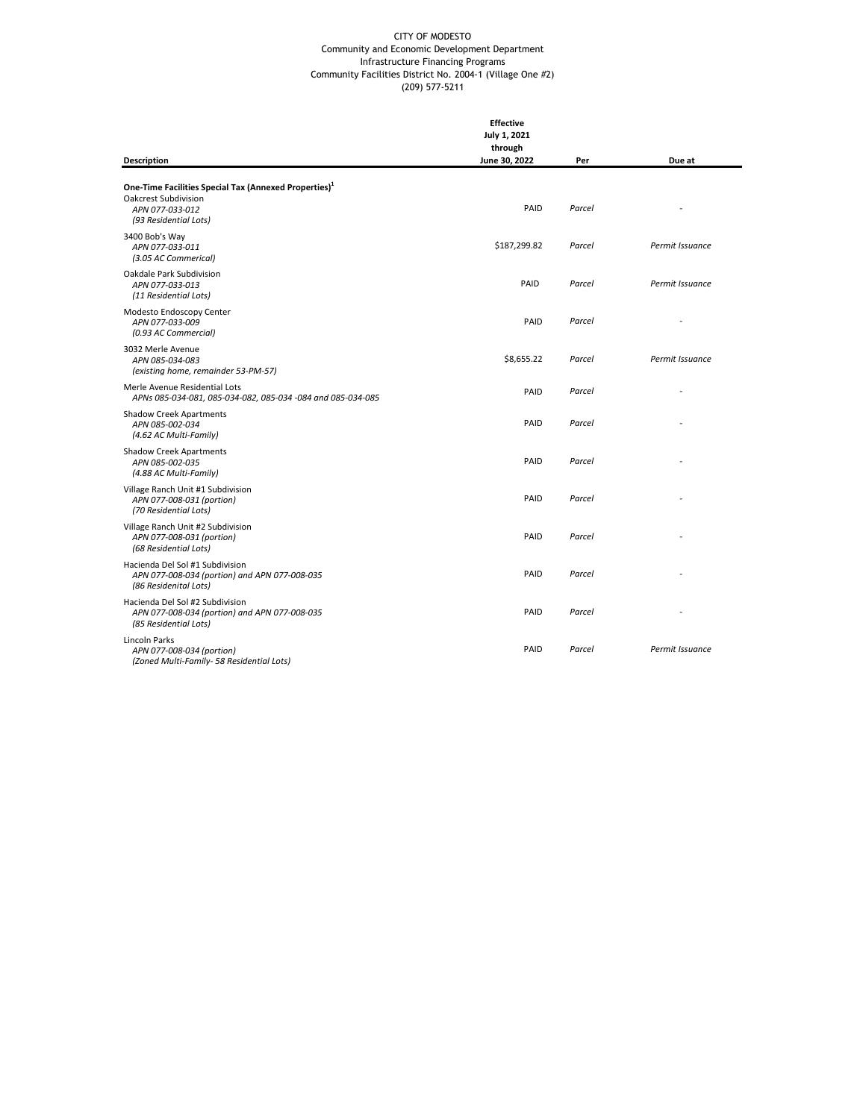|                                                                                                                                       | <b>Effective</b><br>July 1, 2021<br>through |        |                 |
|---------------------------------------------------------------------------------------------------------------------------------------|---------------------------------------------|--------|-----------------|
| <b>Description</b>                                                                                                                    | June 30, 2022                               | Per    | Due at          |
| One-Time Facilities Special Tax (Annexed Properties) <sup>1</sup><br>Oakcrest Subdivision<br>APN 077-033-012<br>(93 Residential Lots) | PAID                                        | Parcel |                 |
| 3400 Bob's Way<br>APN 077-033-011<br>(3.05 AC Commerical)                                                                             | \$187,299.82                                | Parcel | Permit Issuance |
| Oakdale Park Subdivision<br>APN 077-033-013<br>(11 Residential Lots)                                                                  | PAID                                        | Parcel | Permit Issuance |
| Modesto Endoscopy Center<br>APN 077-033-009<br>(0.93 AC Commercial)                                                                   | PAID                                        | Parcel |                 |
| 3032 Merle Avenue<br>APN 085-034-083<br>(existing home, remainder 53-PM-57)                                                           | \$8,655.22                                  | Parcel | Permit Issuance |
| Merle Avenue Residential Lots<br>APNs 085-034-081, 085-034-082, 085-034 -084 and 085-034-085                                          | PAID                                        | Parcel |                 |
| <b>Shadow Creek Apartments</b><br>APN 085-002-034<br>(4.62 AC Multi-Family)                                                           | PAID                                        | Parcel |                 |
| <b>Shadow Creek Apartments</b><br>APN 085-002-035<br>(4.88 AC Multi-Family)                                                           | PAID                                        | Parcel |                 |
| Village Ranch Unit #1 Subdivision<br>APN 077-008-031 (portion)<br>(70 Residential Lots)                                               | PAID                                        | Parcel |                 |
| Village Ranch Unit #2 Subdivision<br>APN 077-008-031 (portion)<br>(68 Residential Lots)                                               | PAID                                        | Parcel |                 |
| Hacienda Del Sol #1 Subdivision<br>APN 077-008-034 (portion) and APN 077-008-035<br>(86 Residenital Lots)                             | PAID                                        | Parcel |                 |
| Hacienda Del Sol #2 Subdivision<br>APN 077-008-034 (portion) and APN 077-008-035<br>(85 Residential Lots)                             | PAID                                        | Parcel |                 |
| Lincoln Parks<br>APN 077-008-034 (portion)<br>(Zoned Multi-Family- 58 Residential Lots)                                               | PAID                                        | Parcel | Permit Issuance |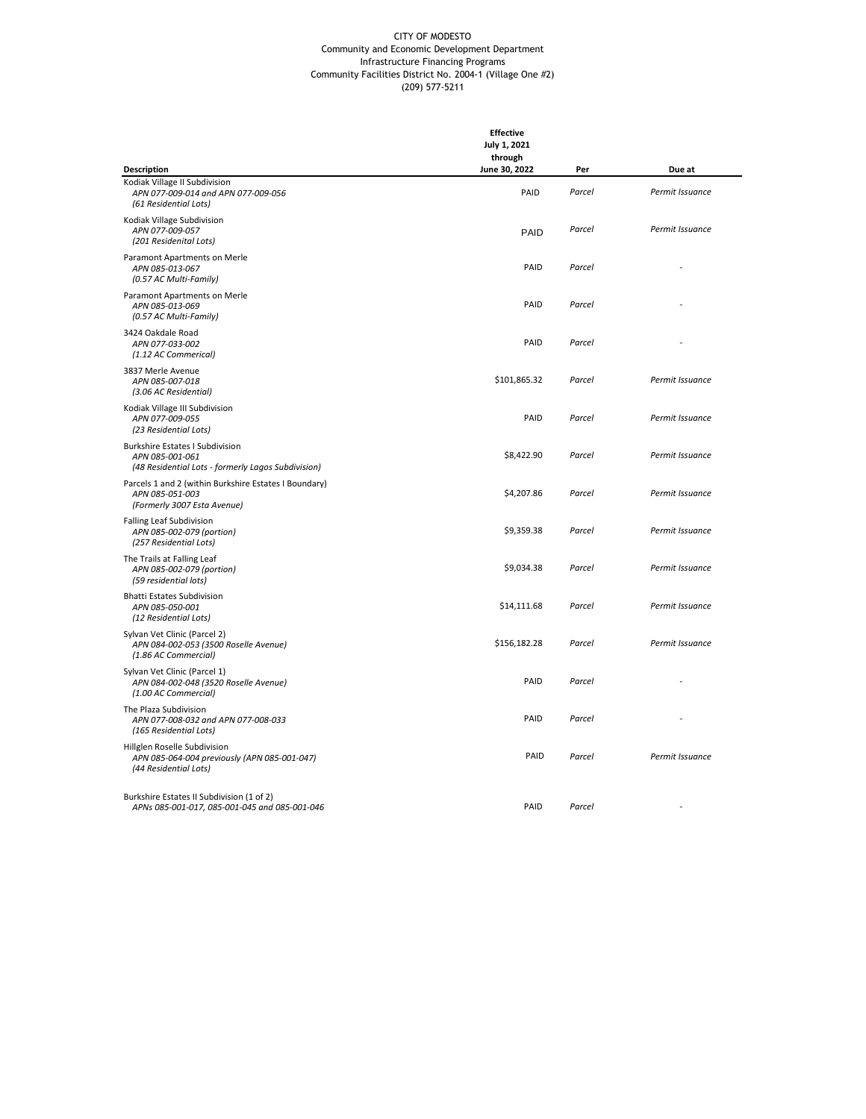|                                                                                                                 | <b>Effective</b><br>July 1, 2021 |        |                 |  |
|-----------------------------------------------------------------------------------------------------------------|----------------------------------|--------|-----------------|--|
|                                                                                                                 | through                          |        |                 |  |
| Description                                                                                                     | June 30, 2022                    | Per    | Due at          |  |
| Kodiak Village II Subdivision<br>APN 077-009-014 and APN 077-009-056<br>(61 Residential Lots)                   | PAID                             | Parcel | Permit Issuance |  |
| Kodiak Village Subdivision<br>APN 077-009-057<br>(201 Residenital Lots)                                         | <b>PAID</b>                      | Parcel | Permit Issuance |  |
| Paramont Apartments on Merle<br>APN 085-013-067<br>(0.57 AC Multi-Family)                                       | PAID                             | Parcel |                 |  |
| Paramont Apartments on Merle<br>APN 085-013-069<br>(0.57 AC Multi-Family)                                       | PAID                             | Parcel |                 |  |
| 3424 Oakdale Road<br>APN 077-033-002<br>(1.12 AC Commerical)                                                    | PAID                             | Parcel |                 |  |
| 3837 Merle Avenue<br>APN 085-007-018<br>(3.06 AC Residential)                                                   | \$101,865.32                     | Parcel | Permit Issuance |  |
| Kodiak Village III Subdivision<br>APN 077-009-055<br>(23 Residential Lots)                                      | PAID                             | Parcel | Permit Issuance |  |
| <b>Burkshire Estates I Subdivision</b><br>APN 085-001-061<br>(48 Residential Lots - formerly Lagos Subdivision) | \$8,422.90                       | Parcel | Permit Issuance |  |
| Parcels 1 and 2 (within Burkshire Estates I Boundary)<br>APN 085-051-003<br>(Formerly 3007 Esta Avenue)         | \$4,207.86                       | Parcel | Permit Issuance |  |
| <b>Falling Leaf Subdivision</b><br>APN 085-002-079 (portion)<br>(257 Residential Lots)                          | \$9,359.38                       | Parcel | Permit Issuance |  |
| The Trails at Falling Leaf<br>APN 085-002-079 (portion)<br>(59 residential lots)                                | \$9,034.38                       | Parcel | Permit Issuance |  |
| <b>Bhatti Estates Subdivision</b><br>APN 085-050-001<br>(12 Residential Lots)                                   | \$14,111.68                      | Parcel | Permit Issuance |  |
| Sylvan Vet Clinic (Parcel 2)<br>APN 084-002-053 (3500 Roselle Avenue)<br>(1.86 AC Commercial)                   | \$156,182.28                     | Parcel | Permit Issuance |  |
| Sylvan Vet Clinic (Parcel 1)<br>APN 084-002-048 (3520 Roselle Avenue)<br>(1.00 AC Commercial)                   | PAID                             | Parcel |                 |  |
| The Plaza Subdivision<br>APN 077-008-032 and APN 077-008-033<br>(165 Residential Lots)                          | PAID                             | Parcel |                 |  |
| Hillglen Roselle Subdivision<br>APN 085-064-004 previously (APN 085-001-047)<br>(44 Residential Lots)           | PAID                             | Parcel | Permit Issuance |  |
| Burkshire Estates II Subdivision (1 of 2)<br>APNs 085-001-017, 085-001-045 and 085-001-046                      | PAID                             | Parcel |                 |  |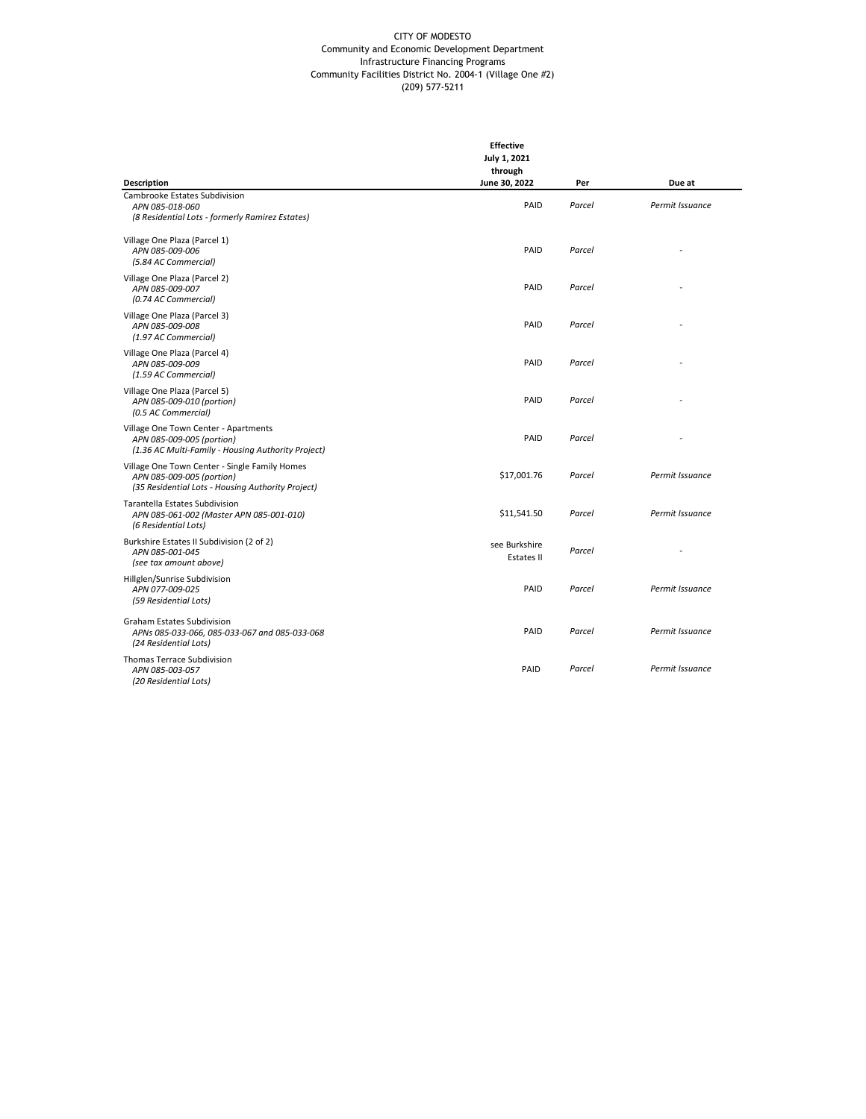|                                                                                                                                 | <b>Effective</b><br>July 1, 2021<br>through<br>June 30, 2022 |               |                           |
|---------------------------------------------------------------------------------------------------------------------------------|--------------------------------------------------------------|---------------|---------------------------|
| Description<br>Cambrooke Estates Subdivision<br>APN 085-018-060<br>(8 Residential Lots - formerly Ramirez Estates)              | PAID                                                         | Per<br>Parcel | Due at<br>Permit Issuance |
| Village One Plaza (Parcel 1)<br>APN 085-009-006<br>(5.84 AC Commercial)                                                         | PAID                                                         | Parcel        |                           |
| Village One Plaza (Parcel 2)<br>APN 085-009-007<br>(0.74 AC Commercial)                                                         | PAID                                                         | Parcel        |                           |
| Village One Plaza (Parcel 3)<br>APN 085-009-008<br>(1.97 AC Commercial)                                                         | PAID                                                         | Parcel        |                           |
| Village One Plaza (Parcel 4)<br>APN 085-009-009<br>(1.59 AC Commercial)                                                         | PAID                                                         | Parcel        |                           |
| Village One Plaza (Parcel 5)<br>APN 085-009-010 (portion)<br>(0.5 AC Commercial)                                                | PAID                                                         | Parcel        |                           |
| Village One Town Center - Apartments<br>APN 085-009-005 (portion)<br>(1.36 AC Multi-Family - Housing Authority Project)         | PAID                                                         | Parcel        |                           |
| Village One Town Center - Single Family Homes<br>APN 085-009-005 (portion)<br>(35 Residential Lots - Housing Authority Project) | \$17,001.76                                                  | Parcel        | Permit Issuance           |
| Tarantella Estates Subdivision<br>APN 085-061-002 (Master APN 085-001-010)<br>(6 Residential Lots)                              | \$11,541.50                                                  | Parcel        | Permit Issuance           |
| Burkshire Estates II Subdivision (2 of 2)<br>APN 085-001-045<br>(see tax amount above)                                          | see Burkshire<br>Estates II                                  | Parcel        |                           |
| Hillglen/Sunrise Subdivision<br>APN 077-009-025<br>(59 Residential Lots)                                                        | PAID                                                         | Parcel        | Permit Issuance           |
| <b>Graham Estates Subdivision</b><br>APNs 085-033-066, 085-033-067 and 085-033-068<br>(24 Residential Lots)                     | PAID                                                         | Parcel        | Permit Issuance           |
| Thomas Terrace Subdivision<br>APN 085-003-057<br>(20 Residential Lots)                                                          | PAID                                                         | Parcel        | Permit Issuance           |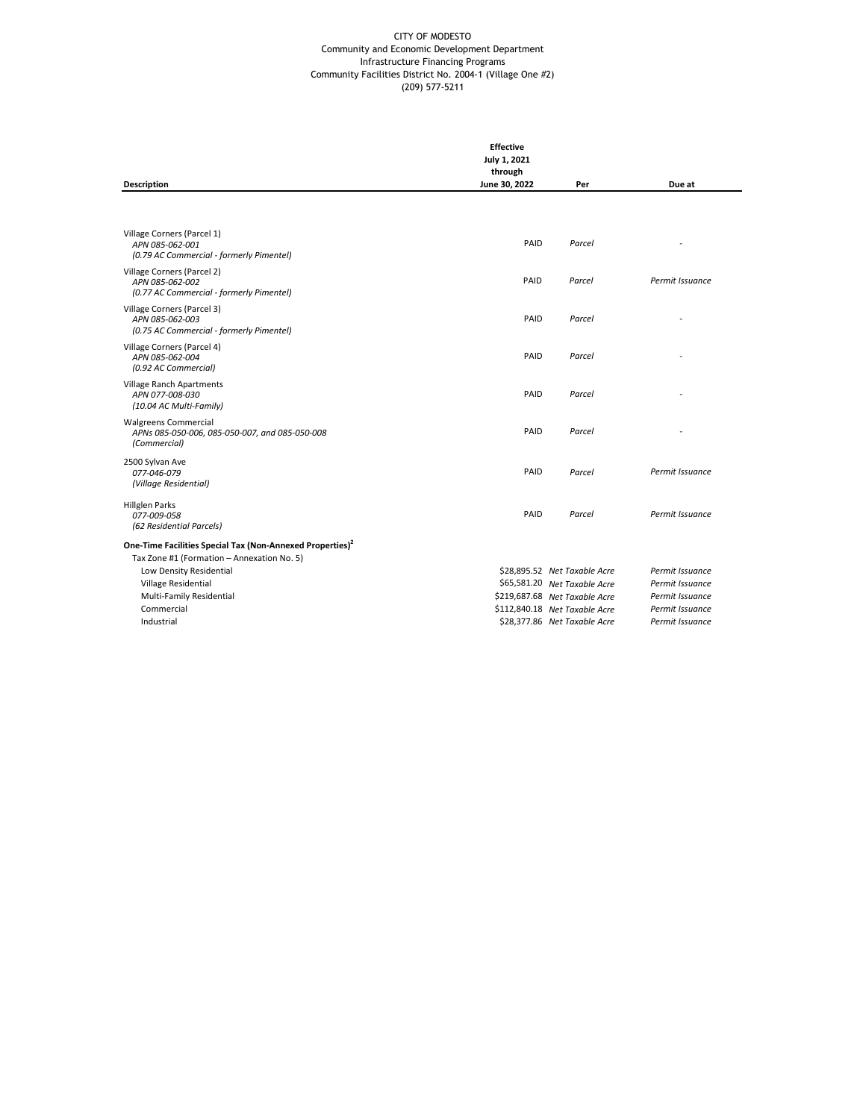|                                                                                               | <b>Effective</b><br>July 1, 2021<br>through |                               |                 |
|-----------------------------------------------------------------------------------------------|---------------------------------------------|-------------------------------|-----------------|
| <b>Description</b>                                                                            | June 30, 2022                               | Per                           | Due at          |
|                                                                                               |                                             |                               |                 |
| Village Corners (Parcel 1)<br>APN 085-062-001<br>(0.79 AC Commercial - formerly Pimentel)     | PAID                                        | Parcel                        |                 |
| Village Corners (Parcel 2)<br>APN 085-062-002<br>(0.77 AC Commercial - formerly Pimentel)     | PAID                                        | Parcel                        | Permit Issuance |
| Village Corners (Parcel 3)<br>APN 085-062-003<br>(0.75 AC Commercial - formerly Pimentel)     | PAID                                        | Parcel                        |                 |
| Village Corners (Parcel 4)<br>APN 085-062-004<br>(0.92 AC Commercial)                         | PAID                                        | Parcel                        |                 |
| Village Ranch Apartments<br>APN 077-008-030<br>(10.04 AC Multi-Family)                        | PAID                                        | Parcel                        |                 |
| <b>Walgreens Commercial</b><br>APNs 085-050-006, 085-050-007, and 085-050-008<br>(Commercial) | PAID                                        | Parcel                        |                 |
| 2500 Sylvan Ave<br>077-046-079<br>(Village Residential)                                       | PAID                                        | Parcel                        | Permit Issuance |
| <b>Hillglen Parks</b><br>077-009-058<br>(62 Residential Parcels)                              | PAID                                        | Parcel                        | Permit Issuance |
| One-Time Facilities Special Tax (Non-Annexed Properties) <sup>2</sup>                         |                                             |                               |                 |
| Tax Zone #1 (Formation - Annexation No. 5)<br>Low Density Residential                         |                                             | \$28,895.52 Net Taxable Acre  | Permit Issuance |
| Village Residential                                                                           |                                             | \$65,581.20 Net Taxable Acre  | Permit Issuance |
| Multi-Family Residential                                                                      |                                             | \$219,687.68 Net Taxable Acre | Permit Issuance |
| Commercial                                                                                    |                                             | \$112,840.18 Net Taxable Acre | Permit Issuance |
| Industrial                                                                                    |                                             | \$28,377.86 Net Taxable Acre  | Permit Issuance |
|                                                                                               |                                             |                               |                 |